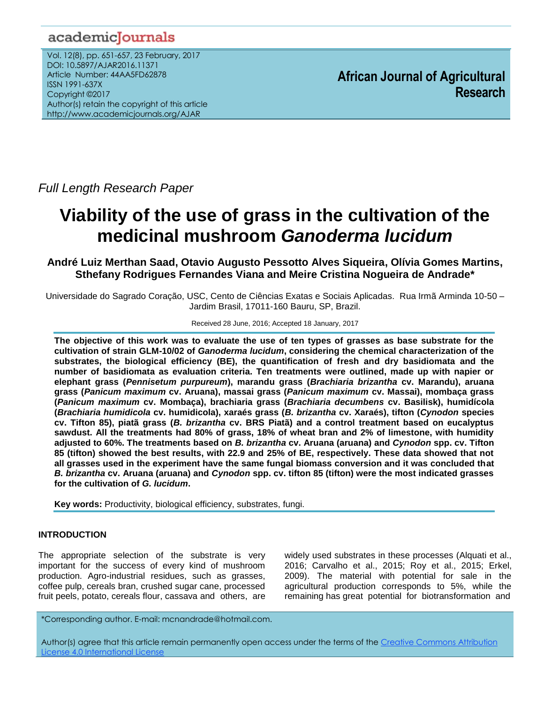# academicJournals

Vol. 12(8), pp. 651-657, 23 February, 2017 DOI: 10.5897/AJAR2016.11371 Article Number: 44AA5FD62878 ISSN 1991-637X Copyright ©2017 Author(s) retain the copyright of this article http://www.academicjournals.org/AJAR

**African Journal of Agricultural Research**

*Full Length Research Paper*

# **Viability of the use of grass in the cultivation of the medicinal mushroom** *Ganoderma lucidum*

## **André Luiz Merthan Saad, Otavio Augusto Pessotto Alves Siqueira, Olívia Gomes Martins, Sthefany Rodrigues Fernandes Viana and Meire Cristina Nogueira de Andrade\***

Universidade do Sagrado Coração, USC, Cento de Ciências Exatas e Sociais Aplicadas. Rua Irmã Arminda 10-50 – Jardim Brasil, 17011-160 Bauru, SP, Brazil.

#### Received 28 June, 2016; Accepted 18 January, 2017

**The objective of this work was to evaluate the use of ten types of grasses as base substrate for the cultivation of strain GLM-10/02 of** *Ganoderma lucidum***, considering the chemical characterization of the substrates, the biological efficiency (BE), the quantification of fresh and dry basidiomata and the number of basidiomata as evaluation criteria. Ten treatments were outlined, made up with napier or elephant grass (***Pennisetum purpureum***), marandu grass (***Brachiaria brizantha* **cv. Marandu), aruana grass (***Panicum maximum* **cv. Aruana), massai grass (***Panicum maximum* **cv. Massai), mombaça grass (***Panicum maximum* **cv. Mombaça), brachiaria grass (***Brachiaria decumbens* **cv. Basilisk), humidícola (***Brachiaria humidicola* **cv. humidicola), xaraés grass (***B. brizantha* **cv. Xaraés), tifton (***Cynodon* **species cv. Tifton 85), piatã grass (***B. brizantha* **cv. BRS Piatã) and a control treatment based on eucalyptus sawdust. All the treatments had 80% of grass, 18% of wheat bran and 2% of limestone, with humidity adjusted to 60%. The treatments based on** *B. brizantha* **cv. Aruana (aruana) and** *Cynodon* **spp. cv. Tifton 85 (tifton) showed the best results, with 22.9 and 25% of BE, respectively. These data showed that not all grasses used in the experiment have the same fungal biomass conversion and it was concluded that**  *B. brizantha* **cv. Aruana (aruana) and** *Cynodon* **spp. cv. tifton 85 (tifton) were the most indicated grasses for the cultivation of** *G. lucidum***.**

**Key words:** Productivity, biological efficiency, substrates, fungi.

### **INTRODUCTION**

The appropriate selection of the substrate is very important for the success of every kind of mushroom production. Agro-industrial residues, such as grasses, coffee pulp, cereals bran, crushed sugar cane, processed fruit peels, potato, cereals flour, cassava and others, are widely used substrates in these processes (Alquati et al., 2016; Carvalho et al., 2015; Roy et al., 2015; Erkel, 2009). The material with potential for sale in the agricultural production corresponds to 5%, while the remaining has great potential for biotransformation and

\*Corresponding author. E-mail: mcnandrade@hotmail.com.

Author(s) agree that this article remain permanently open access under the terms of th[e Creative Commons Attribution](http://creativecommons.org/licenses/by/4.0/deed.en_US)  [License 4.0 International License](http://creativecommons.org/licenses/by/4.0/deed.en_US)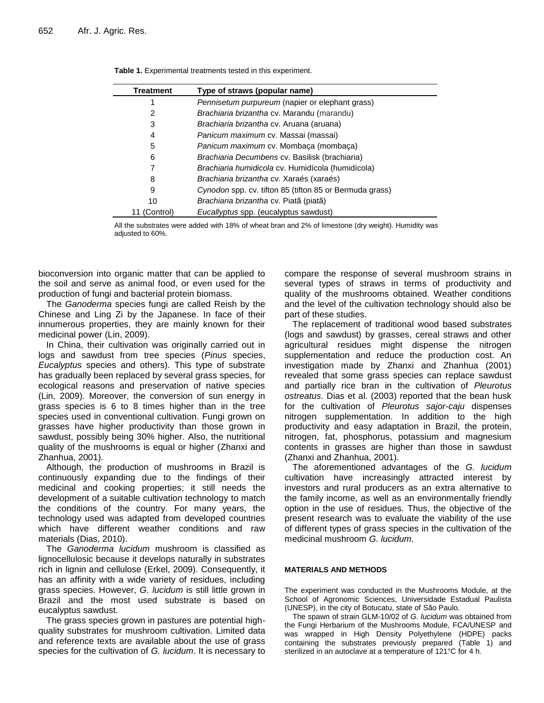| Treatment | Type of straws (popular name)                           |
|-----------|---------------------------------------------------------|
|           | Pennisetum purpureum (napier or elephant grass)         |
| 2         | Brachiaria brizantha cv. Marandu (marandu)              |
| 3         | Brachiaria brizantha cv. Aruana (aruana)                |
| 4         | Panicum maximum cv. Massai (massai)                     |
| 5         | Panicum maximum cv. Mombaca (mombaca)                   |
| 6         | Brachiaria Decumbens cv. Basilisk (brachiaria)          |
|           | Brachiaria humidicola cv. Humidícola (humidícola)       |
| 8         | Brachiaria brizantha cv. Xaraés (xaraés)                |
| 9         | Cynodon spp. cv. tifton 85 (tifton 85 or Bermuda grass) |
| 10        | Brachiaria brizantha cv. Piatã (piatã)                  |
| (Control) | Eucallyptus spp. (eucalyptus sawdust)                   |

**Table 1.** Experimental treatments tested in this experiment.

All the substrates were added with 18% of wheat bran and 2% of limestone (dry weight). Humidity was adjusted to 60%.

bioconversion into organic matter that can be applied to the soil and serve as animal food, or even used for the production of fungi and bacterial protein biomass.

The *Ganoderma* species fungi are called Reish by the Chinese and Ling Zi by the Japanese. In face of their innumerous properties, they are mainly known for their medicinal power (Lin, 2009).

In China, their cultivation was originally carried out in logs and sawdust from tree species (*Pinus* species, *Eucalyptus* species and others). This type of substrate has gradually been replaced by several grass species, for ecological reasons and preservation of native species (Lin, 2009). Moreover, the conversion of sun energy in grass species is 6 to 8 times higher than in the tree species used in conventional cultivation. Fungi grown on grasses have higher productivity than those grown in sawdust, possibly being 30% higher. Also, the nutritional quality of the mushrooms is equal or higher (Zhanxi and Zhanhua, 2001).

Although, the production of mushrooms in Brazil is continuously expanding due to the findings of their medicinal and cooking properties; it still needs the development of a suitable cultivation technology to match the conditions of the country. For many years, the technology used was adapted from developed countries which have different weather conditions and raw materials (Dias, 2010).

The *Ganoderma lucidum* mushroom is classified as lignocellulosic because it develops naturally in substrates rich in lignin and cellulose (Erkel, 2009). Consequently, it has an affinity with a wide variety of residues, including grass species. However, *G. lucidum* is still little grown in Brazil and the most used substrate is based on eucalyptus sawdust.

The grass species grown in pastures are potential highquality substrates for mushroom cultivation. Limited data and reference texts are available about the use of grass species for the cultivation of *G. lucidum*. It is necessary to compare the response of several mushroom strains in several types of straws in terms of productivity and quality of the mushrooms obtained. Weather conditions and the level of the cultivation technology should also be part of these studies.

The replacement of traditional wood based substrates (logs and sawdust) by grasses, cereal straws and other agricultural residues might dispense the nitrogen supplementation and reduce the production cost. An investigation made by Zhanxi and Zhanhua (2001) revealed that some grass species can replace sawdust and partially rice bran in the cultivation of *Pleurotus ostreatus*. Dias et al. (2003) reported that the bean husk for the cultivation of *Pleurotus sajor-caju* dispenses nitrogen supplementation. In addition to the high productivity and easy adaptation in Brazil, the protein, nitrogen, fat, phosphorus, potassium and magnesium contents in grasses are higher than those in sawdust (Zhanxi and Zhanhua, 2001).

The aforementioned advantages of the *G. lucidum* cultivation have increasingly attracted interest by investors and rural producers as an extra alternative to the family income, as well as an environmentally friendly option in the use of residues. Thus, the objective of the present research was to evaluate the viability of the use of different types of grass species in the cultivation of the medicinal mushroom *G. lucidum*.

#### **MATERIALS AND METHODS**

The experiment was conducted in the Mushrooms Module, at the School of Agronomic Sciences, Universidade Estadual Paulista (UNESP), in the city of Botucatu, state of São Paulo.

The spawn of strain GLM-10/02 of *G. lucidum* was obtained from the Fungi Herbarium of the Mushrooms Module, FCA/UNESP and was wrapped in High Density Polyethylene (HDPE) packs containing the substrates previously prepared (Table 1) and sterilized in an autoclave at a temperature of 121°C for 4 h.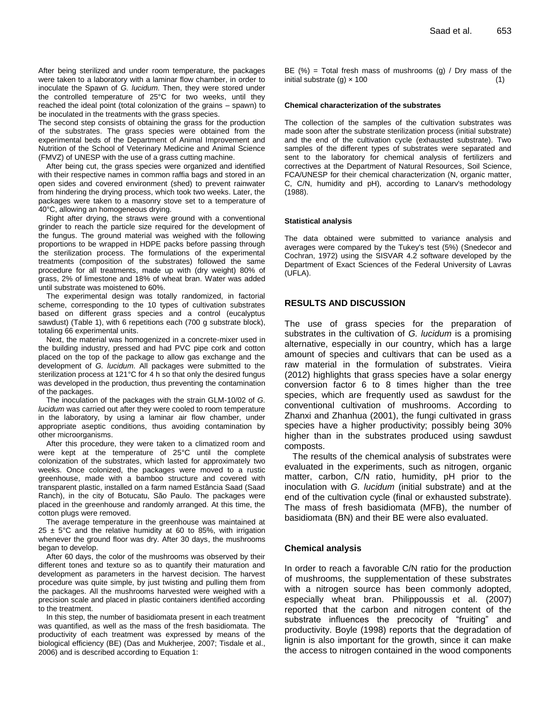After being sterilized and under room temperature, the packages were taken to a laboratory with a laminar flow chamber, in order to inoculate the Spawn of *G. lucidum*. Then, they were stored under the controlled temperature of 25°C for two weeks, until they reached the ideal point (total colonization of the grains – spawn) to be inoculated in the treatments with the grass species.

The second step consists of obtaining the grass for the production of the substrates. The grass species were obtained from the experimental beds of the Department of Animal Improvement and Nutrition of the School of Veterinary Medicine and Animal Science (FMVZ) of UNESP with the use of a grass cutting machine.

After being cut, the grass species were organized and identified with their respective names in common raffia bags and stored in an open sides and covered environment (shed) to prevent rainwater from hindering the drying process, which took two weeks. Later, the packages were taken to a masonry stove set to a temperature of 40°C, allowing an homogeneous drying.

Right after drying, the straws were ground with a conventional grinder to reach the particle size required for the development of the fungus. The ground material was weighed with the following proportions to be wrapped in HDPE packs before passing through the sterilization process. The formulations of the experimental treatments (composition of the substrates) followed the same procedure for all treatments, made up with (dry weight) 80% of grass, 2% of limestone and 18% of wheat bran. Water was added until substrate was moistened to 60%.

The experimental design was totally randomized, in factorial scheme, corresponding to the 10 types of cultivation substrates based on different grass species and a control (eucalyptus sawdust) (Table 1), with 6 repetitions each (700 g substrate block), totaling 66 experimental units.

Next, the material was homogenized in a concrete-mixer used in the building industry, pressed and had PVC pipe cork and cotton placed on the top of the package to allow gas exchange and the development of *G. lucidum*. All packages were submitted to the sterilization process at 121°C for 4 h so that only the desired fungus was developed in the production, thus preventing the contamination of the packages.

The inoculation of the packages with the strain GLM-10/02 of *G. lucidum* was carried out after they were cooled to room temperature in the laboratory, by using a laminar air flow chamber, under appropriate aseptic conditions, thus avoiding contamination by other microorganisms.

After this procedure, they were taken to a climatized room and were kept at the temperature of 25°C until the complete colonization of the substrates, which lasted for approximately two weeks. Once colonized, the packages were moved to a rustic greenhouse, made with a bamboo structure and covered with transparent plastic, installed on a farm named Estância Saad (Saad Ranch), in the city of Botucatu, São Paulo. The packages were placed in the greenhouse and randomly arranged. At this time, the cotton plugs were removed.

The average temperature in the greenhouse was maintained at  $25 \pm 5^{\circ}$ C and the relative humidity at 60 to 85%, with irrigation whenever the ground floor was dry. After 30 days, the mushrooms began to develop.

After 60 days, the color of the mushrooms was observed by their different tones and texture so as to quantify their maturation and development as parameters in the harvest decision. The harvest procedure was quite simple, by just twisting and pulling them from the packages. All the mushrooms harvested were weighed with a precision scale and placed in plastic containers identified according to the treatment.

In this step, the number of basidiomata present in each treatment was quantified, as well as the mass of the fresh basidiomata. The productivity of each treatment was expressed by means of the biological efficiency (BE) (Das and Mukherjee, 2007; Tisdale et al., 2006) and is described according to Equation 1:

BE  $(\%)$  = Total fresh mass of mushrooms (g) / Dry mass of the initial substrate  $(g) \times 100$  (1)

#### **Chemical characterization of the substrates**

The collection of the samples of the cultivation substrates was made soon after the substrate sterilization process (initial substrate) and the end of the cultivation cycle (exhausted substrate). Two samples of the different types of substrates were separated and sent to the laboratory for chemical analysis of fertilizers and correctives at the Department of Natural Resources, Soil Science, FCA/UNESP for their chemical characterization (N, organic matter, C, C/N, humidity and pH), according to Lanarv's methodology (1988).

#### **Statistical analysis**

The data obtained were submitted to variance analysis and averages were compared by the Tukey's test (5%) (Snedecor and Cochran, 1972) using the SISVAR 4.2 software developed by the Department of Exact Sciences of the Federal University of Lavras (UFLA).

#### **RESULTS AND DISCUSSION**

The use of grass species for the preparation of substrates in the cultivation of *G. lucidum* is a promising alternative, especially in our country, which has a large amount of species and cultivars that can be used as a raw material in the formulation of substrates. Vieira (2012) highlights that grass species have a solar energy conversion factor 6 to 8 times higher than the tree species, which are frequently used as sawdust for the conventional cultivation of mushrooms. According to Zhanxi and Zhanhua (2001), the fungi cultivated in grass species have a higher productivity; possibly being 30% higher than in the substrates produced using sawdust composts.

The results of the chemical analysis of substrates were evaluated in the experiments, such as nitrogen, organic matter, carbon, C/N ratio, humidity, pH prior to the inoculation with *G. lucidum* (initial substrate) and at the end of the cultivation cycle (final or exhausted substrate). The mass of fresh basidiomata (MFB), the number of basidiomata (BN) and their BE were also evaluated.

#### **Chemical analysis**

In order to reach a favorable C/N ratio for the production of mushrooms, the supplementation of these substrates with a nitrogen source has been commonly adopted, especially wheat bran. Philippoussis et al. (2007) reported that the carbon and nitrogen content of the substrate influences the precocity of "fruiting" and productivity. Boyle (1998) reports that the degradation of lignin is also important for the growth, since it can make the access to nitrogen contained in the wood components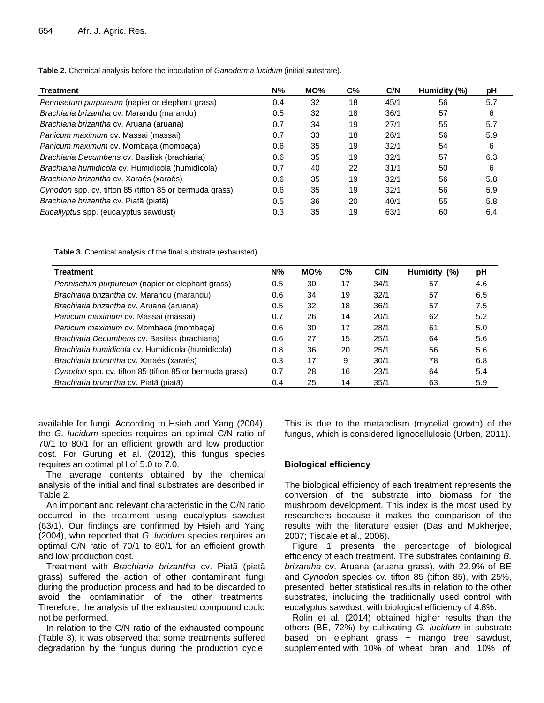**Table 2.** Chemical analysis before the inoculation of *Ganoderma lucidum* (initial substrate).

| <b>Treatment</b>                                        | $N\%$ | MO% | $C\%$ | C/N  | Humidity (%) | рH  |
|---------------------------------------------------------|-------|-----|-------|------|--------------|-----|
| Pennisetum purpureum (napier or elephant grass)         | 0.4   | 32  | 18    | 45/1 | 56           | 5.7 |
| Brachiaria brizantha cv. Marandu (marandu)              | 0.5   | 32  | 18    | 36/1 | 57           | 6   |
| Brachiaria brizantha cv. Aruana (aruana)                | 0.7   | 34  | 19    | 27/1 | 55           | 5.7 |
| Panicum maximum cv. Massai (massai)                     | 0.7   | 33  | 18    | 26/1 | 56           | 5.9 |
| Panicum maximum cv. Mombaca (mombaca)                   | 0.6   | 35  | 19    | 32/1 | 54           | 6   |
| Brachiaria Decumbens cv. Basilisk (brachiaria)          | 0.6   | 35  | 19    | 32/1 | 57           | 6.3 |
| Brachiaria humidicola cv. Humidícola (humidícola)       | 0.7   | 40  | 22    | 31/1 | 50           | 6   |
| Brachiaria brizantha cv. Xaraés (xaraés)                | 0.6   | 35  | 19    | 32/1 | 56           | 5.8 |
| Cynodon spp. cv. tifton 85 (tifton 85 or bermuda grass) | 0.6   | 35  | 19    | 32/1 | 56           | 5.9 |
| Brachiaria brizantha cv. Piatã (piatã)                  | 0.5   | 36  | 20    | 40/1 | 55           | 5.8 |
| Eucallyptus spp. (eucalyptus sawdust)                   | 0.3   | 35  | 19    | 63/1 | 60           | 6.4 |

**Table 3.** Chemical analysis of the final substrate (exhausted).

| <b>Treatment</b>                                        |     | MO% | $C\%$ | C/N  | Humidity (%) | рH  |
|---------------------------------------------------------|-----|-----|-------|------|--------------|-----|
| Pennisetum purpureum (napier or elephant grass)         | 0.5 | 30  | 17    | 34/1 | 57           | 4.6 |
| Brachiaria brizantha cv. Marandu (marandu)              | 0.6 | 34  | 19    | 32/1 | 57           | 6.5 |
| Brachiaria brizantha cv. Aruana (aruana)                |     | 32  | 18    | 36/1 | 57           | 7.5 |
| Panicum maximum cv. Massai (massai)                     | 0.7 | 26  | 14    | 20/1 | 62           | 5.2 |
| Panicum maximum cv. Mombaça (mombaça)                   | 0.6 | 30  | 17    | 28/1 | 61           | 5.0 |
| Brachiaria Decumbens cv. Basilisk (brachiaria)          | 0.6 | 27  | 15    | 25/1 | 64           | 5.6 |
| Brachiaria humidicola cv. Humidícola (humidícola)       | 0.8 | 36  | 20    | 25/1 | 56           | 5.6 |
| Brachiaria brizantha cv. Xaraés (xaraés)                |     | 17  | 9     | 30/1 | 78           | 6.8 |
| Cynodon spp. cv. tifton 85 (tifton 85 or bermuda grass) |     | 28  | 16    | 23/1 | 64           | 5.4 |
| Brachiaria brizantha cv. Piatã (piatã)                  |     | 25  | 14    | 35/1 | 63           | 5.9 |

available for fungi. According to Hsieh and Yang (2004), the *G. lucidum* species requires an optimal C/N ratio of 70/1 to 80/1 for an efficient growth and low production cost. For Gurung et al. (2012), this fungus species requires an optimal pH of 5.0 to 7.0.

The average contents obtained by the chemical analysis of the initial and final substrates are described in Table 2.

An important and relevant characteristic in the C/N ratio occurred in the treatment using eucalyptus sawdust (63/1). Our findings are confirmed by Hsieh and Yang (2004), who reported that *G. lucidum* species requires an optimal C/N ratio of 70/1 to 80/1 for an efficient growth and low production cost.

Treatment with *Brachiaria brizantha* cv. Piatã (piatã grass) suffered the action of other contaminant fungi during the production process and had to be discarded to avoid the contamination of the other treatments. Therefore, the analysis of the exhausted compound could not be performed.

In relation to the C/N ratio of the exhausted compound (Table 3), it was observed that some treatments suffered degradation by the fungus during the production cycle. This is due to the metabolism (mycelial growth) of the fungus, which is considered lignocellulosic (Urben, 2011).

#### **Biological efficiency**

The biological efficiency of each treatment represents the conversion of the substrate into biomass for the mushroom development. This index is the most used by researchers because it makes the comparison of the results with the literature easier (Das and Mukherjee, 2007; Tisdale et al., 2006).

Figure 1 presents the percentage of biological efficiency of each treatment. The substrates containing *B. brizantha* cv. Aruana (aruana grass), with 22.9% of BE and *Cynodon* species cv. tifton 85 (tifton 85), with 25%, presented better statistical results in relation to the other substrates, including the traditionally used control with eucalyptus sawdust, with biological efficiency of 4.8%.

Rolin et al. (2014) obtained higher results than the others (BE, 72%) by cultivating *G. lucidum* in substrate based on elephant grass + mango tree sawdust, supplemented with 10% of wheat bran and 10% of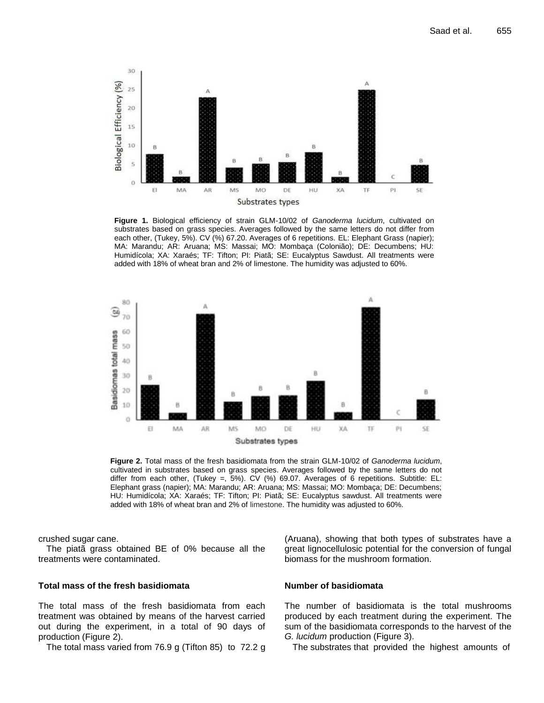

**Figure 1.** Biological efficiency of strain GLM-10/02 of *Ganoderma lucidum*, cultivated on substrates based on grass species. Averages followed by the same letters do not differ from each other, (Tukey, 5%). CV (%) 67.20. Averages of 6 repetitions. EL: Elephant Grass (napier); MA: Marandu; AR: Aruana; MS: Massai; MO: Mombaça (Colonião); DE: Decumbens; HU: Humidícola; XA: Xaraés; TF: Tifton; PI: Piatã; SE: Eucalyptus Sawdust. All treatments were added with 18% of wheat bran and 2% of limestone. The humidity was adjusted to 60%.



**Figure 2.** Total mass of the fresh basidiomata from the strain GLM-10/02 of *Ganoderma lucidum*, cultivated in substrates based on grass species. Averages followed by the same letters do not differ from each other, (Tukey =, 5%). CV (%) 69.07. Averages of 6 repetitions. Subtitle: EL: Elephant grass (napier); MA: Marandu; AR: Aruana; MS: Massai; MO: Mombaça; DE: Decumbens; HU: Humidícola; XA: Xaraés; TF: Tifton; PI: Piatã; SE: Eucalyptus sawdust. All treatments were added with 18% of wheat bran and 2% of limestone. The humidity was adjusted to 60%.

crushed sugar cane.

The piatã grass obtained BE of 0% because all the treatments were contaminated.

#### **Total mass of the fresh basidiomata**

The total mass of the fresh basidiomata from each treatment was obtained by means of the harvest carried out during the experiment, in a total of 90 days of production (Figure 2).

The total mass varied from 76.9 g (Tifton 85) to 72.2 g

(Aruana), showing that both types of substrates have a great lignocellulosic potential for the conversion of fungal biomass for the mushroom formation.

#### **Number of basidiomata**

The number of basidiomata is the total mushrooms produced by each treatment during the experiment. The sum of the basidiomata corresponds to the harvest of the *G. lucidum* production (Figure 3).

The substrates that provided the highest amounts of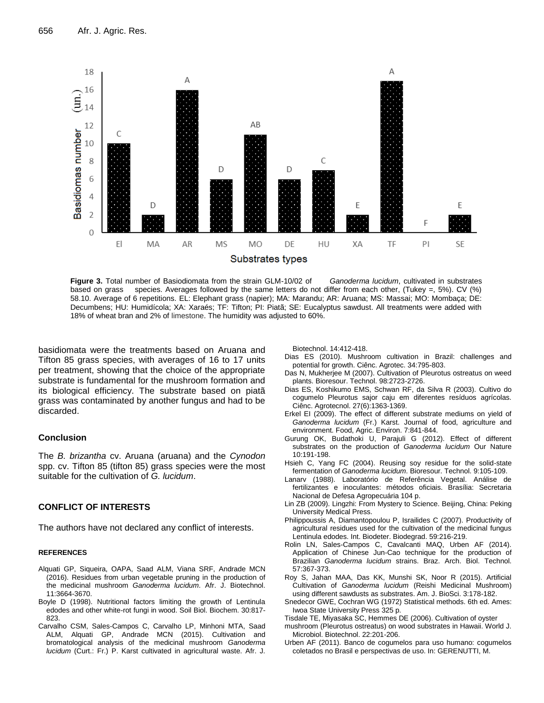

**Figure 3.** Total number of Basiodiomata from the strain GLM-10/02 of *Ganoderma lucidum*, cultivated in substrates based on grass species. Averages followed by the same letters do not differ from each other, (Tukey =, 5%). CV (%) 58.10. Average of 6 repetitions. EL: Elephant grass (napier); MA: Marandu; AR: Aruana; MS: Massai; MO: Mombaça; DE: Decumbens; HU: Humidícola; XA: Xaraés; TF: Tifton; PI: Piatã; SE: Eucalyptus sawdust. All treatments were added with 18% of wheat bran and 2% of limestone. The humidity was adjusted to 60%.

basidiomata were the treatments based on Aruana and Tifton 85 grass species, with averages of 16 to 17 units per treatment, showing that the choice of the appropriate substrate is fundamental for the mushroom formation and its biological efficiency. The substrate based on piatã grass was contaminated by another fungus and had to be discarded.

#### **Conclusion**

The *B. brizantha* cv. Aruana (aruana) and the *Cynodon* spp. cv. Tifton 85 (tifton 85) grass species were the most suitable for the cultivation of *G. lucidum*.

#### **CONFLICT OF INTERESTS**

The authors have not declared any conflict of interests.

#### **REFERENCES**

- Alquati GP, Siqueira, OAPA, Saad ALM, Viana SRF, Andrade MCN (2016). Residues from urban vegetable pruning in the production of the medicinal mushroom *Ganoderma lucidum*. Afr. J. Biotechnol. 11:3664-3670.
- Boyle D (1998). Nutritional factors limiting the growth of Lentinula edodes and other white-rot fungi in wood. Soil Biol. Biochem. 30:817- 823.
- Carvalho CSM, Sales-Campos C, Carvalho LP, Minhoni MTA, Saad ALM, Alquati GP, Andrade MCN (2015). Cultivation and bromatological analysis of the medicinal mushroom *Ganoderma lucidum* (Curt.: Fr.) P. Karst cultivated in agricultural waste. Afr. J.

Biotechnol. 14:412-418.

- Dias ES (2010). Mushroom cultivation in Brazil: challenges and potential for growth. Ciênc. Agrotec. 34:795-803.
- Das N, Mukherjee M (2007). Cultivation of Pleurotus ostreatus on weed plants. Bioresour. Technol. 98:2723-2726.
- Dias ES, Koshikumo EMS, Schwan RF, da Silva R (2003). Cultivo do cogumelo Pleurotus sajor caju em diferentes resíduos agrícolas. Ciênc. Agrotecnol. 27(6):1363-1369.
- Erkel EI (2009). The effect of different substrate mediums on yield of *Ganoderma lucidum* (Fr.) Karst. Journal of food, agriculture and environment. Food, Agric. Environ. 7:841-844.
- Gurung OK, Budathoki U, Parajuli G (2012). Effect of different substrates on the production of *Ganoderma lucidum* Our Nature 10:191-198.
- Hsieh C, Yang FC (2004). Reusing soy residue for the solid-state fermentation of *Ganoderma lucidum*. Bioresour. Technol. 9:105-109.
- Lanarv (1988). Laboratório de Referência Vegetal. Análise de fertilizantes e inoculantes: métodos oficiais. Brasília: Secretaria Nacional de Defesa Agropecuária 104 p.
- Lin ZB (2009). Lingzhi: From Mystery to Science. Beijing, China: Peking University Medical Press.
- Philippoussis A, Diamantopoulou P, Israilides C (2007). Productivity of agricultural residues used for the cultivation of the medicinal fungus Lentinula edodes. Int. Biodeter. Biodegrad. 59:216-219.
- Rolin LN, Sales-Campos C, Cavalcanti MAQ, Urben AF (2014). Application of Chinese Jun-Cao technique for the production of Brazilian *Ganoderma lucidum* strains. Braz. Arch. Biol. Technol. 57:367-373.
- Roy S, Jahan MAA, Das KK, Munshi SK, Noor R (2015). Artificial Cultivation of *Ganoderma lucidum* (Reishi Medicinal Mushroom) using different sawdusts as substrates. Am. J. BioSci. 3:178-182.
- Snedecor GWE, Cochran WG (1972) Statistical methods. 6th ed. Ames: Iwoa State University Press 325 p.
- Tisdale TE, Miyasaka SC, Hemmes DE (2006). Cultivation of oyster
- mushroom (Pleurotus ostreatus) on wood substrates in Hawaii. World J. Microbiol. Biotechnol. 22:201-206.
- Urben AF (2011). Banco de cogumelos para uso humano: cogumelos coletados no Brasil e perspectivas de uso. In: GERENUTTI, M.